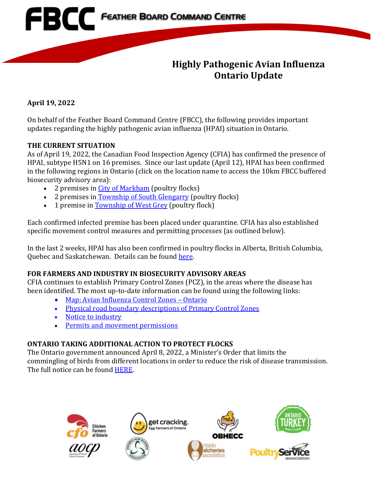

## **Highly Pathogenic Avian Influenza Ontario Update**

**April 19, 2022**

On behalf of the Feather Board Command Centre (FBCC), the following provides important updates regarding the highly pathogenic avian influenza (HPAI) situation in Ontario.

### **THE CURRENT SITUATION**

As of April 19, 2022, the Canadian Food Inspection Agency (CFIA) has confirmed the presence of HPAI, subtype H5N1 on 16 premises. Since our last update (April 12), HPAI has been confirmed in the following regions in Ontario (click on the location name to access the 10km FBCC buffered biosecurity advisory area):

- 2 premises in [City of Markham](https://www.fbcc.ca/suspect-hpai/public-map) (poultry flocks)
- 2 premises in [Township of South Glengarry](https://www.fbcc.ca/hr-lancaster/public-map) (poultry flocks)
- 1 premise in [Township of](https://www.fbcc.ca/test4/public-map) West Grey (poultry flock)

Each confirmed infected premise has been placed under quarantine. CFIA has also established specific movement control measures and permitting processes (as outlined below).

In the last 2 weeks, HPAI has also been confirmed in poultry flocks in Alberta, British Columbia, Quebec and Saskatchewan. Details can be found [here.](https://inspection.canada.ca/animal-health/terrestrial-animals/diseases/reportable/avian-influenza/response-to-detections-of-highly-pathogenic-avian-/eng/1640207916497/1640207916934)

### **FOR FARMERS AND INDUSTRY IN BIOSECURITY ADVISORY AREAS**

CFIA continues to establish Primary Control Zones (PCZ), in the areas where the disease has been identified. The most up-to-date information can be found using the following links:

- [Map: Avian Influenza Control Zones –](https://inspection.canada.ca/animal-health/terrestrial-animals/diseases/reportable/avian-influenza/response-to-detections-of-highly-pathogenic-avian-/ai-zones/eng/1648851134912/1648851359195) Ontario
- [Physical road boundary descriptions of Primary Control Zones](https://inspection.canada.ca/animal-health/terrestrial-animals/diseases/reportable/avian-influenza/response-to-detections-of-highly-pathogenic-avian-/orders/eng/1649534340171/1649534884199)
- Notice to industry
- [Permits and movement permissions](https://inspection.canada.ca/animal-health/terrestrial-animals/diseases/reportable/avian-influenza/response-to-detections-of-highly-pathogenic-avian-/movement-control-permissions/eng/1648871137667/1648871138011)

### **ONTARIO TAKING ADDITIONAL ACTION TO PROTECT FLOCKS**

The Ontario government announced April 8, 2022, a Minister's Order that limits the commingling of birds from different locations in order to reduce the risk of disease transmission. The full notice can be found [HERE.](https://news.ontario.ca/en/bulletin/1001997/ontario-taking-additional-action-to-protect-flocks)